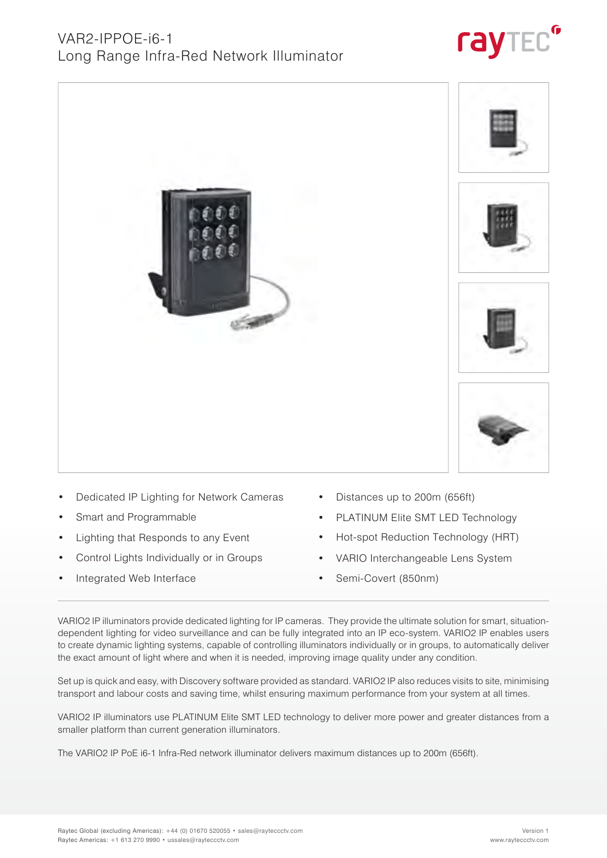

- Dedicated IP Lighting for Network Cameras
- Smart and Programmable
- Lighting that Responds to any Event
- Control Lights Individually or in Groups
- Integrated Web Interface
- Distances up to 200m (656ft)
- PLATINUM Elite SMT LED Technology
- Hot-spot Reduction Technology (HRT)
- VARIO Interchangeable Lens System
- Semi-Covert (850nm)

VARIO2 IP illuminators provide dedicated lighting for IP cameras. They provide the ultimate solution for smart, situationdependent lighting for video surveillance and can be fully integrated into an IP eco-system. VARIO2 IP enables users to create dynamic lighting systems, capable of controlling illuminators individually or in groups, to automatically deliver the exact amount of light where and when it is needed, improving image quality under any condition.

Set up is quick and easy, with Discovery software provided as standard. VARIO2 IP also reduces visits to site, minimising transport and labour costs and saving time, whilst ensuring maximum performance from your system at all times.

VARIO2 IP illuminators use PLATINUM Elite SMT LED technology to deliver more power and greater distances from a smaller platform than current generation illuminators.

The VARIO2 IP PoE i6-1 Infra-Red network illuminator delivers maximum distances up to 200m (656ft).





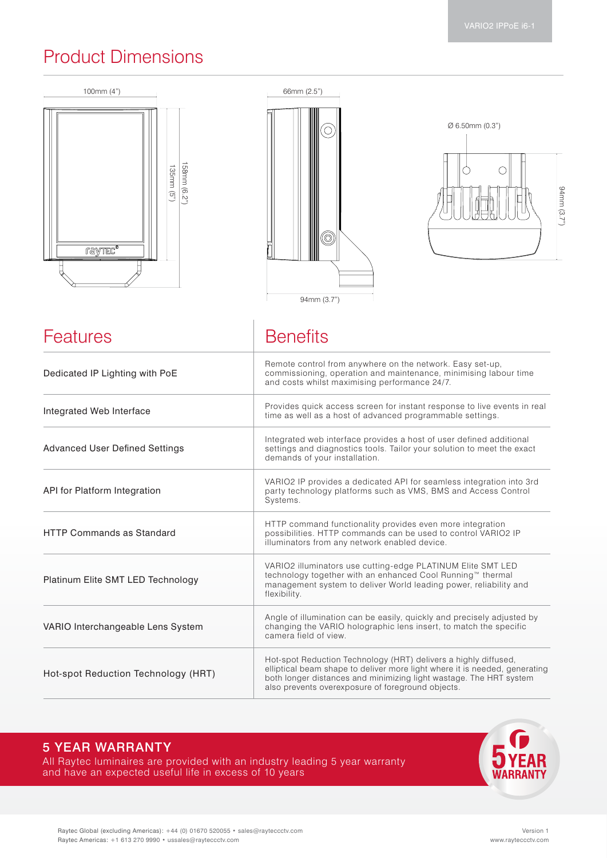## Product Dimensions







| Features                              | <b>Benefits</b>                                                                                                                                                                                                                                                          |  |
|---------------------------------------|--------------------------------------------------------------------------------------------------------------------------------------------------------------------------------------------------------------------------------------------------------------------------|--|
| Dedicated IP Lighting with PoE        | Remote control from anywhere on the network. Easy set-up,<br>commissioning, operation and maintenance, minimising labour time<br>and costs whilst maximising performance 24/7.                                                                                           |  |
| Integrated Web Interface              | Provides quick access screen for instant response to live events in real<br>time as well as a host of advanced programmable settings.                                                                                                                                    |  |
| <b>Advanced User Defined Settings</b> | Integrated web interface provides a host of user defined additional<br>settings and diagnostics tools. Tailor your solution to meet the exact<br>demands of your installation.                                                                                           |  |
| API for Platform Integration          | VARIO2 IP provides a dedicated API for seamless integration into 3rd<br>party technology platforms such as VMS, BMS and Access Control<br>Systems.                                                                                                                       |  |
| <b>HTTP Commands as Standard</b>      | HTTP command functionality provides even more integration<br>possibilities. HTTP commands can be used to control VARIO2 IP<br>illuminators from any network enabled device.                                                                                              |  |
| Platinum Elite SMT LED Technology     | VARIO2 illuminators use cutting-edge PLATINUM Elite SMT LED<br>technology together with an enhanced Cool Running™ thermal<br>management system to deliver World leading power, reliability and<br>flexibility.                                                           |  |
| VARIO Interchangeable Lens System     | Angle of illumination can be easily, quickly and precisely adjusted by<br>changing the VARIO holographic lens insert, to match the specific<br>camera field of view.                                                                                                     |  |
| Hot-spot Reduction Technology (HRT)   | Hot-spot Reduction Technology (HRT) delivers a highly diffused,<br>elliptical beam shape to deliver more light where it is needed, generating<br>both longer distances and minimizing light wastage. The HRT system<br>also prevents overexposure of foreground objects. |  |

### 5 YEAR WARRANTY

All Raytec luminaires are provided with an industry leading 5 year warranty and have an expected useful life in excess of 10 years